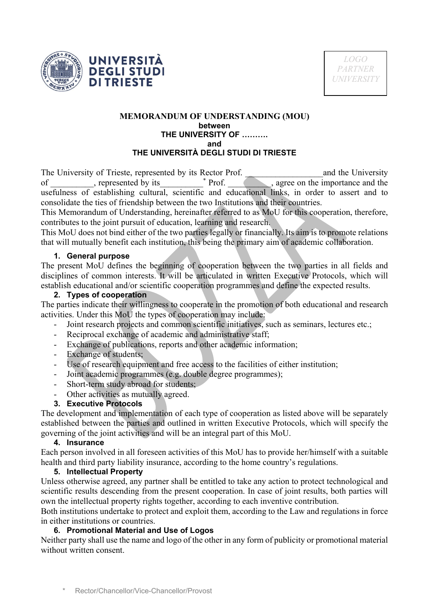



#### **MEMORANDUM OF UNDERSTANDING (MOU) between THE UNIVERSITY OF ………. and THE UNIVERSITÀ DEGLI STUDI DI TRIESTE**

The University of Trieste, represented by its Rector Prof. \_\_\_\_\_\_\_\_\_\_\_\_\_\_\_\_\_\_and the University of \_\_\_\_\_\_\_\_\_, represented by its  $\blacksquare$ , agree on the importance and the usefulness of establishing cultural, scientific and educational links, in order to assert and to consolidate the ties of friendship between the two Institutions and their countries.

This Memorandum of Understanding, hereinafter referred to as MoU for this cooperation, therefore, contributes to the joint pursuit of education, learning and research.

This MoU does not bind either of the two parties legally or financially. Its aim is to promote relations that will mutually benefit each institution, this being the primary aim of academic collaboration.

## **1. General purpose**

The present MoU defines the beginning of cooperation between the two parties in all fields and disciplines of common interests. It will be articulated in written Executive Protocols, which will establish educational and/or scientific cooperation programmes and define the expected results.

## **2. Types of cooperation**

The parties indicate their willingness to cooperate in the promotion of both educational and research activities. Under this MoU the types of cooperation may include:

- Joint research projects and common scientific initiatives, such as seminars, lectures etc.;
- Reciprocal exchange of academic and administrative staff;
- Exchange of publications, reports and other academic information;
- Exchange of students;
- Use of research equipment and free access to the facilities of either institution;
- Joint academic programmes (e.g. double degree programmes);
- Short-term study abroad for students;
- Other activities as mutually agreed.

## **3. Executive Protocols**

The development and implementation of each type of cooperation as listed above will be separately established between the parties and outlined in written Executive Protocols, which will specify the governing of the joint activities and will be an integral part of this MoU.

## **4. Insurance**

Each person involved in all foreseen activities of this MoU has to provide her/himself with a suitable health and third party liability insurance, according to the home country's regulations.

## **5. Intellectual Property**

Unless otherwise agreed, any partner shall be entitled to take any action to protect technological and scientific results descending from the present cooperation. In case of joint results, both parties will own the intellectual property rights together, according to each inventive contribution.

Both institutions undertake to protect and exploit them, according to the Law and regulations in force in either institutions or countries.

# **6. Promotional Material and Use of Logos**

Neither party shall use the name and logo of the other in any form of publicity or promotional material without written consent.